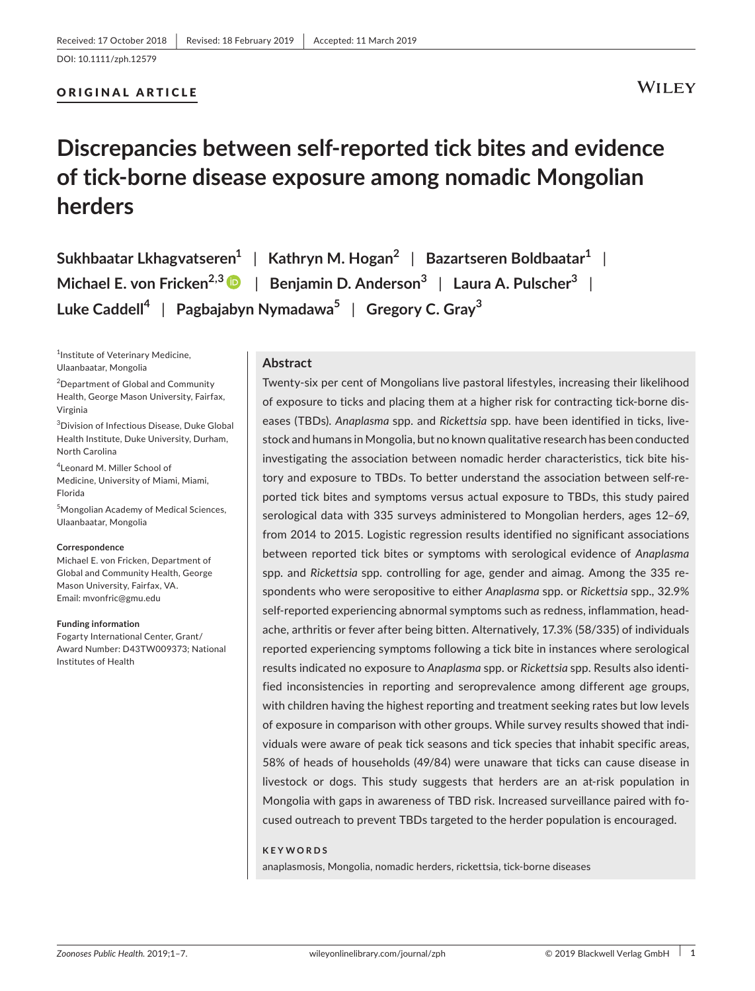#### ORIGINAL ARTICLE

**WILEY** 

# **Discrepancies between self‐reported tick bites and evidence of tick‐borne disease exposure among nomadic Mongolian herders**

**Sukhbaatar Lkhagvatseren1** | **Kathryn M. Hogan2** | **Bazartseren Boldbaatar1** | **Michael E. von Fricken2,3** | **Benjamin D. Anderson3** | **Laura A. Pulscher<sup>3</sup>** | **Luke Caddell<sup>4</sup>** | **Pagbajabyn Nymadawa5** | **Gregory C. Gray<sup>3</sup>**

<sup>1</sup>Institute of Veterinary Medicine, Ulaanbaatar, Mongolia

<sup>2</sup>Department of Global and Community Health, George Mason University, Fairfax, Virginia

3 Division of Infectious Disease, Duke Global Health Institute, Duke University, Durham, North Carolina

4 Leonard M. Miller School of Medicine, University of Miami, Miami, Florida

5 Mongolian Academy of Medical Sciences, Ulaanbaatar, Mongolia

#### **Correspondence**

Michael E. von Fricken, Department of Global and Community Health, George Mason University, Fairfax, VA. Email: [mvonfric@gmu.edu](mailto:mvonfric@gmu.edu)

#### **Funding information**

Fogarty International Center, Grant/ Award Number: D43TW009373; National Institutes of Health

#### **Abstract**

Twenty‐six per cent of Mongolians live pastoral lifestyles, increasing their likelihood of exposure to ticks and placing them at a higher risk for contracting tick‐borne dis‐ eases (TBDs). *Anaplasma* spp. and *Rickettsia* spp. have been identified in ticks, live‐ stock and humans in Mongolia, but no known qualitative research has been conducted investigating the association between nomadic herder characteristics, tick bite his‐ tory and exposure to TBDs. To better understand the association between self-reported tick bites and symptoms versus actual exposure to TBDs, this study paired serological data with 335 surveys administered to Mongolian herders, ages 12–69, from 2014 to 2015. Logistic regression results identified no significant associations between reported tick bites or symptoms with serological evidence of *Anaplasma*  spp. and *Rickettsia* spp. controlling for age, gender and aimag. Among the 335 re‐ spondents who were seropositive to either *Anaplasma* spp. or *Rickettsia* spp., 32.9% self-reported experiencing abnormal symptoms such as redness, inflammation, headache, arthritis or fever after being bitten. Alternatively, 17.3% (58/335) of individuals reported experiencing symptoms following a tick bite in instances where serological results indicated no exposure to *Anaplasma* spp. or *Rickettsia* spp. Results also identi‐ fied inconsistencies in reporting and seroprevalence among different age groups, with children having the highest reporting and treatment seeking rates but low levels of exposure in comparison with other groups. While survey results showed that indi‐ viduals were aware of peak tick seasons and tick species that inhabit specific areas, 58% of heads of households (49/84) were unaware that ticks can cause disease in livestock or dogs. This study suggests that herders are an at-risk population in Mongolia with gaps in awareness of TBD risk. Increased surveillance paired with fo‐ cused outreach to prevent TBDs targeted to the herder population is encouraged.

#### **KEYWORDS**

anaplasmosis, Mongolia, nomadic herders, rickettsia, tick‐borne diseases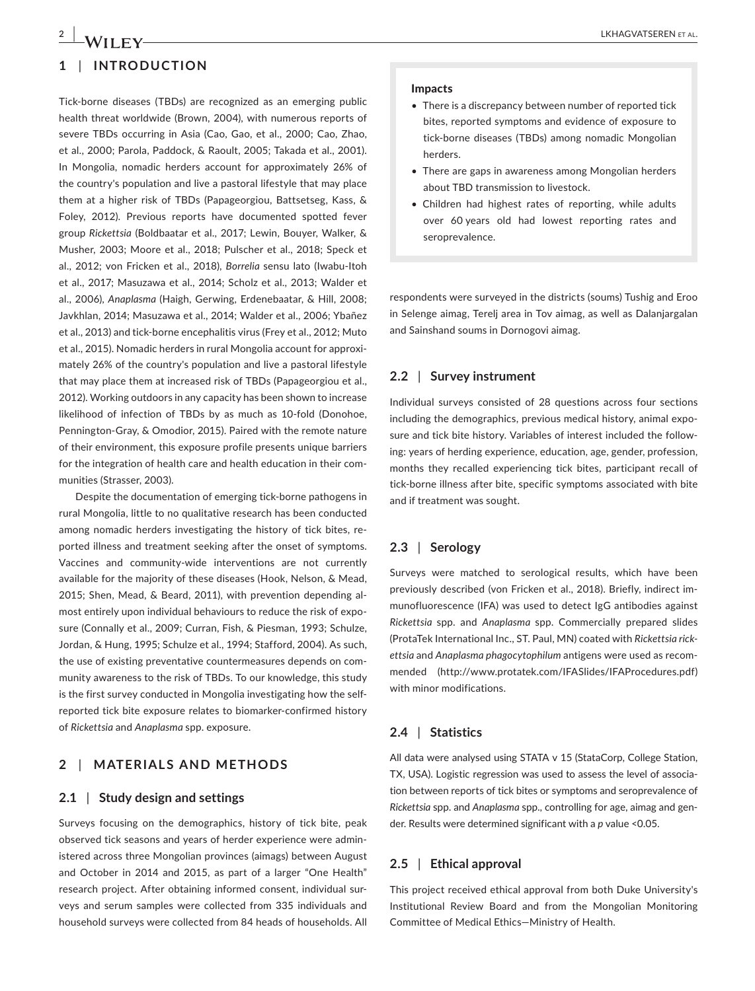## **1** | **INTRODUCTION**

Tick‐borne diseases (TBDs) are recognized as an emerging public health threat worldwide (Brown, 2004), with numerous reports of severe TBDs occurring in Asia (Cao, Gao, et al., 2000; Cao, Zhao, et al., 2000; Parola, Paddock, & Raoult, 2005; Takada et al., 2001). In Mongolia, nomadic herders account for approximately 26% of the country's population and live a pastoral lifestyle that may place them at a higher risk of TBDs (Papageorgiou, Battsetseg, Kass, & Foley, 2012). Previous reports have documented spotted fever group *Rickettsia* (Boldbaatar et al., 2017; Lewin, Bouyer, Walker, & Musher, 2003; Moore et al., 2018; Pulscher et al., 2018; Speck et al., 2012; von Fricken et al., 2018), *Borrelia* sensu lato (Iwabu‐Itoh et al., 2017; Masuzawa et al., 2014; Scholz et al., 2013; Walder et al., 2006), *Anaplasma* (Haigh, Gerwing, Erdenebaatar, & Hill, 2008; Javkhlan, 2014; Masuzawa et al., 2014; Walder et al., 2006; Ybañez et al., 2013) and tick‐borne encephalitis virus (Frey et al., 2012; Muto et al., 2015). Nomadic herders in rural Mongolia account for approxi‐ mately 26% of the country's population and live a pastoral lifestyle that may place them at increased risk of TBDs (Papageorgiou et al., 2012). Working outdoors in any capacity has been shown to increase likelihood of infection of TBDs by as much as 10-fold (Donohoe, Pennington‐Gray, & Omodior, 2015). Paired with the remote nature of their environment, this exposure profile presents unique barriers for the integration of health care and health education in their communities (Strasser, 2003).

Despite the documentation of emerging tick‐borne pathogens in rural Mongolia, little to no qualitative research has been conducted among nomadic herders investigating the history of tick bites, re‐ ported illness and treatment seeking after the onset of symptoms. Vaccines and community‐wide interventions are not currently available for the majority of these diseases (Hook, Nelson, & Mead, 2015; Shen, Mead, & Beard, 2011), with prevention depending al‐ most entirely upon individual behaviours to reduce the risk of exposure (Connally et al., 2009; Curran, Fish, & Piesman, 1993; Schulze, Jordan, & Hung, 1995; Schulze et al., 1994; Stafford, 2004). As such, the use of existing preventative countermeasures depends on com‐ munity awareness to the risk of TBDs. To our knowledge, this study is the first survey conducted in Mongolia investigating how the self‐ reported tick bite exposure relates to biomarker‐confirmed history of *Rickettsia* and *Anaplasma* spp. exposure.

#### **2** | **MATERIALS AND METHODS**

#### **2.1** | **Study design and settings**

Surveys focusing on the demographics, history of tick bite, peak observed tick seasons and years of herder experience were admin‐ istered across three Mongolian provinces (aimags) between August and October in 2014 and 2015, as part of a larger "One Health" research project. After obtaining informed consent, individual sur‐ veys and serum samples were collected from 335 individuals and household surveys were collected from 84 heads of households. All

#### Impacts

- There is a discrepancy between number of reported tick bites, reported symptoms and evidence of exposure to tick‐borne diseases (TBDs) among nomadic Mongolian herders.
- There are gaps in awareness among Mongolian herders about TBD transmission to livestock.
- Children had highest rates of reporting, while adults over 60 years old had lowest reporting rates and seroprevalence.

respondents were surveyed in the districts (soums) Tushig and Eroo in Selenge aimag, Terelj area in Tov aimag, as well as Dalanjargalan and Sainshand soums in Dornogovi aimag.

#### **2.2** | **Survey instrument**

Individual surveys consisted of 28 questions across four sections including the demographics, previous medical history, animal exposure and tick bite history. Variables of interest included the follow‐ ing: years of herding experience, education, age, gender, profession, months they recalled experiencing tick bites, participant recall of tick‐borne illness after bite, specific symptoms associated with bite and if treatment was sought.

#### **2.3** | **Serology**

Surveys were matched to serological results, which have been previously described (von Fricken et al., 2018). Briefly, indirect im‐ munofluorescence (IFA) was used to detect IgG antibodies against *Rickettsia* spp. and *Anaplasma* spp. Commercially prepared slides (ProtaTek International Inc., ST. Paul, MN) coated with *Rickettsia rick‐ ettsia* and *Anaplasma phagocytophilum* antigens were used as recom‐ mended [\(http://www.protatek.com/IFASlides/IFAProcedures.pdf](http://www.protatek.com/IFASlides/IFAProcedures.pdf)) with minor modifications.

#### **2.4** | **Statistics**

All data were analysed using STATA v 15 (StataCorp, College Station, TX, USA). Logistic regression was used to assess the level of associa‐ tion between reports of tick bites or symptoms and seroprevalence of *Rickettsia* spp. and *Anaplasma* spp., controlling for age, aimag and gen‐ der. Results were determined significant with a *p* value <0.05.

#### **2.5** | **Ethical approval**

This project received ethical approval from both Duke University's Institutional Review Board and from the Mongolian Monitoring Committee of Medical Ethics—Ministry of Health.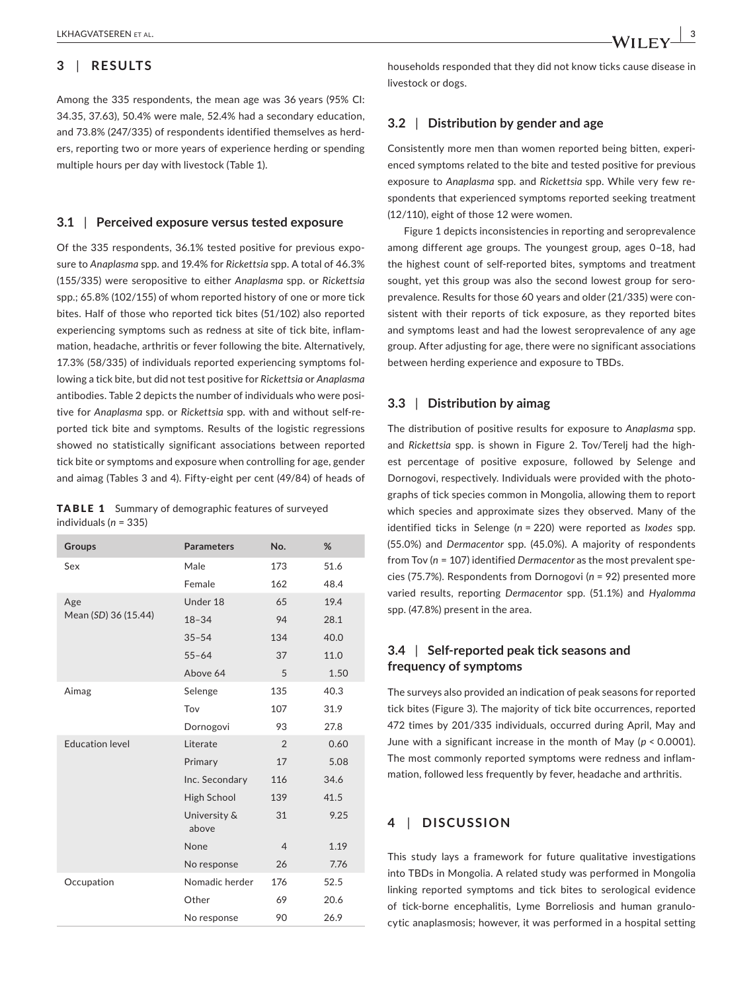### **3** | **RESULTS**

Among the 335 respondents, the mean age was 36 years (95% CI: 34.35, 37.63), 50.4% were male, 52.4% had a secondary education, and 73.8% (247/335) of respondents identified themselves as herd‐ ers, reporting two or more years of experience herding or spending multiple hours per day with livestock (Table 1).

#### **3.1** | **Perceived exposure versus tested exposure**

Of the 335 respondents, 36.1% tested positive for previous expo‐ sure to *Anaplasma* spp. and 19.4% for *Rickettsia* spp. A total of 46.3% (155/335) were seropositive to either *Anaplasma* spp. or *Rickettsia*  spp.; 65.8% (102/155) of whom reported history of one or more tick bites. Half of those who reported tick bites (51/102) also reported experiencing symptoms such as redness at site of tick bite, inflam‐ mation, headache, arthritis or fever following the bite. Alternatively, 17.3% (58/335) of individuals reported experiencing symptoms fol‐ lowing a tick bite, but did not test positive for *Rickettsia* or *Anaplasma*  antibodies. Table 2 depicts the number of individuals who were positive for *Anaplasma* spp. or *Rickettsia* spp. with and without self‐re‐ ported tick bite and symptoms. Results of the logistic regressions showed no statistically significant associations between reported tick bite or symptoms and exposure when controlling for age, gender and aimag (Tables 3 and 4). Fifty‐eight per cent (49/84) of heads of

|                           | <b>TABLE 1</b> Summary of demographic features of surveyed |
|---------------------------|------------------------------------------------------------|
| individuals ( $n = 335$ ) |                                                            |

| Groups                 | <b>Parameters</b>     | No.            | %    |
|------------------------|-----------------------|----------------|------|
| Sex                    | Male                  | 173            | 51.6 |
|                        | Female                | 162            | 48.4 |
| Age                    | Under 18              | 65             | 19.4 |
| Mean (SD) 36 (15.44)   | $18 - 34$             | 94             | 28.1 |
|                        | $35 - 54$             | 134            | 40.0 |
|                        | $55 - 64$             | 37             | 11.0 |
|                        | Above 64              | 5              | 1.50 |
| Aimag                  | Selenge               | 135            | 40.3 |
|                        | Tov                   | 107            | 31.9 |
|                        | Dornogovi             | 93             | 27.8 |
| <b>Education level</b> | Literate              | $\overline{2}$ | 0.60 |
|                        | Primary               | 17             | 5.08 |
|                        | Inc. Secondary        | 116            | 34.6 |
|                        | High School           | 139            | 41.5 |
|                        | University &<br>above | 31             | 9.25 |
|                        | None                  | $\overline{4}$ | 1.19 |
|                        | No response           | 26             | 7.76 |
| Occupation             | Nomadic herder        | 176            | 52.5 |
|                        | Other                 | 69             | 20.6 |
|                        | No response           | 90             | 26.9 |

households responded that they did not know ticks cause disease in livestock or dogs.

#### **3.2** | **Distribution by gender and age**

Consistently more men than women reported being bitten, experi‐ enced symptoms related to the bite and tested positive for previous exposure to *Anaplasma* spp. and *Rickettsia* spp. While very few re‐ spondents that experienced symptoms reported seeking treatment (12/110), eight of those 12 were women.

Figure 1 depicts inconsistencies in reporting and seroprevalence among different age groups. The youngest group, ages 0–18, had the highest count of self‐reported bites, symptoms and treatment sought, yet this group was also the second lowest group for seroprevalence. Results for those 60 years and older (21/335) were con‐ sistent with their reports of tick exposure, as they reported bites and symptoms least and had the lowest seroprevalence of any age group. After adjusting for age, there were no significant associations between herding experience and exposure to TBDs.

#### **3.3** | **Distribution by aimag**

The distribution of positive results for exposure to *Anaplasma* spp. and *Rickettsia* spp. is shown in Figure 2. Tov/Terelj had the high‐ est percentage of positive exposure, followed by Selenge and Dornogovi, respectively. Individuals were provided with the photographs of tick species common in Mongolia, allowing them to report which species and approximate sizes they observed. Many of the identified ticks in Selenge (*n* = 220) were reported as *Ixodes* spp. (55.0%) and *Dermacentor* spp. (45.0%). A majority of respondents from Tov (*n* = 107) identified *Dermacentor* as the most prevalent spe‐ cies (75.7%). Respondents from Dornogovi (*n* = 92) presented more varied results, reporting *Dermacentor* spp. (51.1%) and *Hyalomma*  spp. (47.8%) present in the area.

### **3.4** | **Self‐reported peak tick seasons and frequency of symptoms**

The surveys also provided an indication of peak seasons for reported tick bites (Figure 3). The majority of tick bite occurrences, reported 472 times by 201/335 individuals, occurred during April, May and June with a significant increase in the month of May (*p* < 0.0001). The most commonly reported symptoms were redness and inflam‐ mation, followed less frequently by fever, headache and arthritis.

#### **4** | **DISCUSSION**

This study lays a framework for future qualitative investigations into TBDs in Mongolia. A related study was performed in Mongolia linking reported symptoms and tick bites to serological evidence of tick‐borne encephalitis, Lyme Borreliosis and human granulo‐ cytic anaplasmosis; however, it was performed in a hospital setting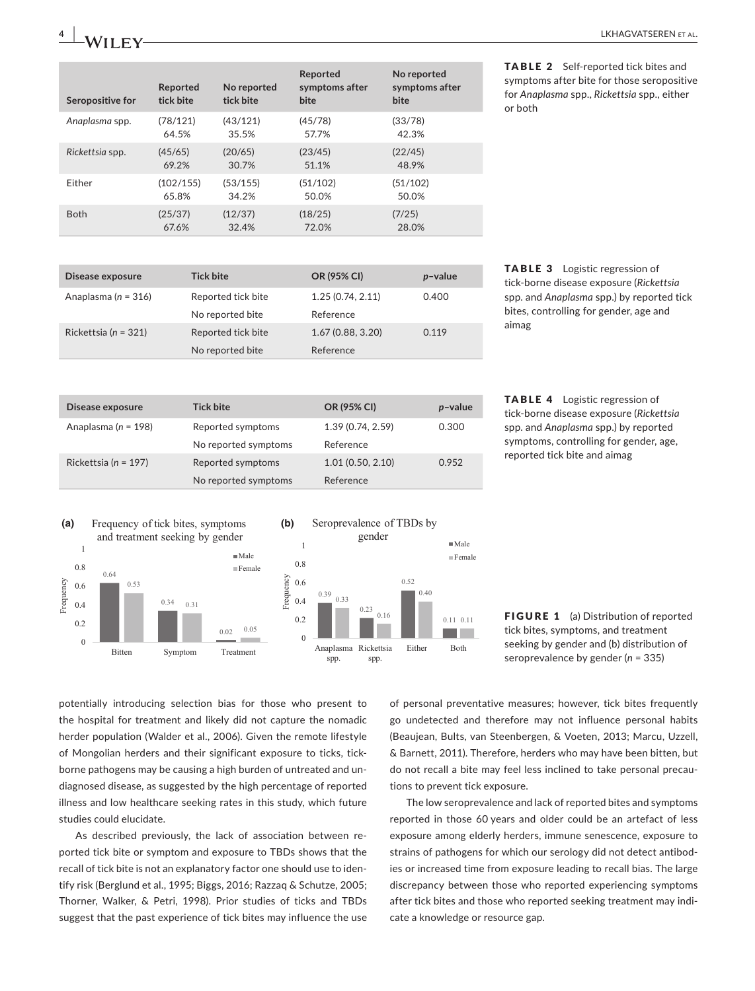| Seropositive for | Reported<br>tick bite | No reported<br>tick bite | Reported<br>symptoms after<br>bite | No reported<br>symptoms after<br>bite |
|------------------|-----------------------|--------------------------|------------------------------------|---------------------------------------|
| Anaplasma spp.   | (78/121)              | (43/121)                 | (45/78)                            | (33/78)                               |
|                  | 64.5%                 | 35.5%                    | 57.7%                              | 42.3%                                 |
| Rickettsia spp.  | (45/65)               | (20/65)                  | (23/45)                            | (22/45)                               |
|                  | 69.2%                 | 30.7%                    | 51.1%                              | 48.9%                                 |
| Fither           | (102/155)             | (53/155)                 | (51/102)                           | (51/102)                              |
|                  | 65.8%                 | 34.2%                    | 50.0%                              | 50.0%                                 |
| <b>Both</b>      | (25/37)               | (12/37)                  | (18/25)                            | (7/25)                                |
|                  | 67.6%                 | 32.4%                    | 72.0%                              | 28.0%                                 |

**Disease exposure Tick bite OR (95% CI)** *p***–value** Anaplasma (n = 198) Reported symptoms 1.39 (0.74, 2.59) 0.300 No reported symptoms Reference Rickettsia (*n* = 197) Reported symptoms 1.01 (0.50, 2.10) 0.952 No reported symptoms Reference

TABLE 2 Self‐reported tick bites and symptoms after bite for those seropositive for *Anaplasma* spp., *Rickettsia* spp., either or both

| Disease exposure     | <b>Tick bite</b>   | OR (95% CI)      | $p$ -value |  |
|----------------------|--------------------|------------------|------------|--|
| Anaplasma (n = 316)  | Reported tick bite | 1.25(0.74, 2.11) | 0.400      |  |
|                      | No reported bite   | Reference        |            |  |
| Rickettsia (n = 321) | Reported tick bite | 1.67(0.88, 3.20) | 0.119      |  |
|                      | No reported bite   | Reference        |            |  |

**ABLE 3** Logistic regression of tick‐borne disease exposure (*Rickettsia*  spp. and *Anaplasma* spp.) by reported tick bites, controlling for gender, age and aimag

TABLE 4 Logistic regression of tick‐borne disease exposure (*Rickettsia*  spp. and *Anaplasma* spp.) by reported symptoms, controlling for gender, age, reported tick bite and aimag





FIGURE 1 (a) Distribution of reported tick bites, symptoms, and treatment seeking by gender and (b) distribution of seroprevalence by gender (*n* = 335)

potentially introducing selection bias for those who present to the hospital for treatment and likely did not capture the nomadic herder population (Walder et al., 2006). Given the remote lifestyle of Mongolian herders and their significant exposure to ticks, tick‐ borne pathogens may be causing a high burden of untreated and un‐ diagnosed disease, as suggested by the high percentage of reported illness and low healthcare seeking rates in this study, which future studies could elucidate.

As described previously, the lack of association between re‐ ported tick bite or symptom and exposure to TBDs shows that the recall of tick bite is not an explanatory factor one should use to iden‐ tify risk (Berglund et al., 1995; Biggs, 2016; Razzaq & Schutze, 2005; Thorner, Walker, & Petri, 1998). Prior studies of ticks and TBDs suggest that the past experience of tick bites may influence the use

of personal preventative measures; however, tick bites frequently go undetected and therefore may not influence personal habits (Beaujean, Bults, van Steenbergen, & Voeten, 2013; Marcu, Uzzell, & Barnett, 2011). Therefore, herders who may have been bitten, but do not recall a bite may feel less inclined to take personal precau‐ tions to prevent tick exposure.

The low seroprevalence and lack of reported bites and symptoms reported in those 60 years and older could be an artefact of less exposure among elderly herders, immune senescence, exposure to strains of pathogens for which our serology did not detect antibod‐ ies or increased time from exposure leading to recall bias. The large discrepancy between those who reported experiencing symptoms after tick bites and those who reported seeking treatment may indi‐ cate a knowledge or resource gap.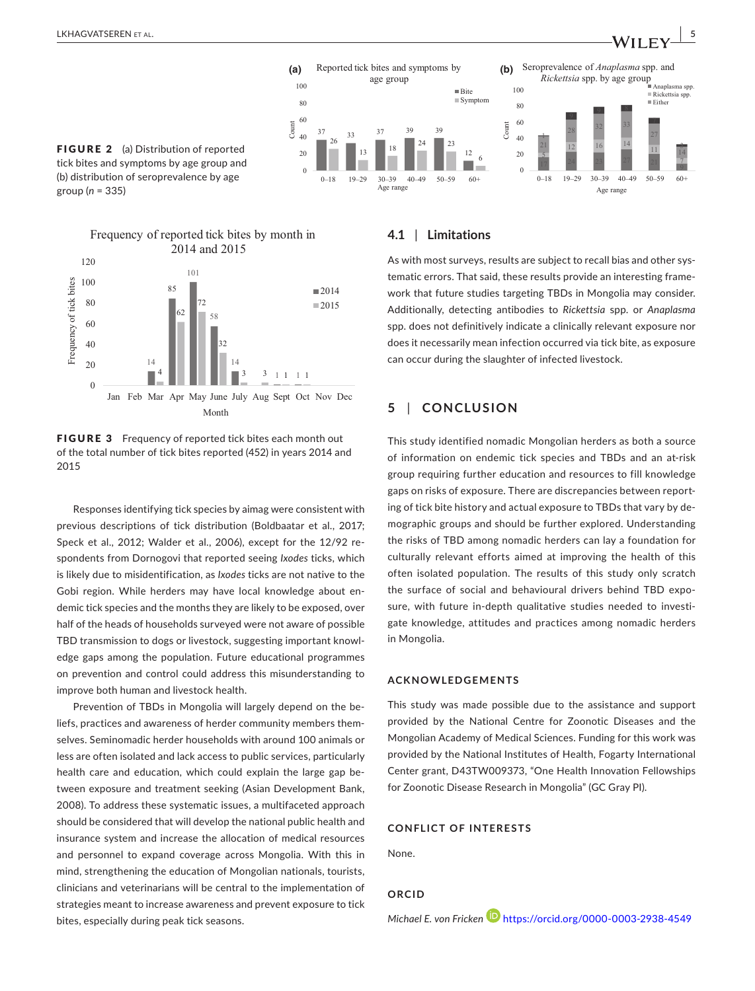







FIGURE 3 Frequency of reported tick bites each month out of the total number of tick bites reported (452) in years 2014 and 2015

Responses identifying tick species by aimag were consistent with previous descriptions of tick distribution (Boldbaatar et al., 2017; Speck et al., 2012; Walder et al., 2006), except for the 12/92 respondents from Dornogovi that reported seeing *Ixodes* ticks, which is likely due to misidentification, as *Ixodes* ticks are not native to the Gobi region. While herders may have local knowledge about en‐ demic tick species and the months they are likely to be exposed, over half of the heads of households surveyed were not aware of possible TBD transmission to dogs or livestock, suggesting important knowl‐ edge gaps among the population. Future educational programmes on prevention and control could address this misunderstanding to improve both human and livestock health.

Prevention of TBDs in Mongolia will largely depend on the be‐ liefs, practices and awareness of herder community members them‐ selves. Seminomadic herder households with around 100 animals or less are often isolated and lack access to public services, particularly health care and education, which could explain the large gap between exposure and treatment seeking (Asian Development Bank, 2008). To address these systematic issues, a multifaceted approach should be considered that will develop the national public health and insurance system and increase the allocation of medical resources and personnel to expand coverage across Mongolia. With this in mind, strengthening the education of Mongolian nationals, tourists, clinicians and veterinarians will be central to the implementation of strategies meant to increase awareness and prevent exposure to tick bites, especially during peak tick seasons.

#### **4.1** | **Limitations**

As with most surveys, results are subject to recall bias and other sys‐ tematic errors. That said, these results provide an interesting frame‐ work that future studies targeting TBDs in Mongolia may consider. Additionally, detecting antibodies to *Rickettsia* spp. or *Anaplasma* spp. does not definitively indicate a clinically relevant exposure nor does it necessarily mean infection occurred via tick bite, as exposure can occur during the slaughter of infected livestock.

#### **5** | **CONCLUSION**

This study identified nomadic Mongolian herders as both a source of information on endemic tick species and TBDs and an at‐risk group requiring further education and resources to fill knowledge gaps on risks of exposure. There are discrepancies between report‐ ing of tick bite history and actual exposure to TBDs that vary by de‐ mographic groups and should be further explored. Understanding the risks of TBD among nomadic herders can lay a foundation for culturally relevant efforts aimed at improving the health of this often isolated population. The results of this study only scratch the surface of social and behavioural drivers behind TBD expo‐ sure, with future in-depth qualitative studies needed to investigate knowledge, attitudes and practices among nomadic herders in Mongolia.

#### **ACKNOWLEDGEMENTS**

This study was made possible due to the assistance and support provided by the National Centre for Zoonotic Diseases and the Mongolian Academy of Medical Sciences. Funding for this work was provided by the National Institutes of Health, Fogarty International Center grant, D43TW009373, "One Health Innovation Fellowships for Zoonotic Disease Research in Mongolia" (GC Gray PI).

#### **CONFLICT OF INTERESTS**

None.

#### **ORCID**

#### *Michael E. von Fricken* <https://orcid.org/0000-0003-2938-4549>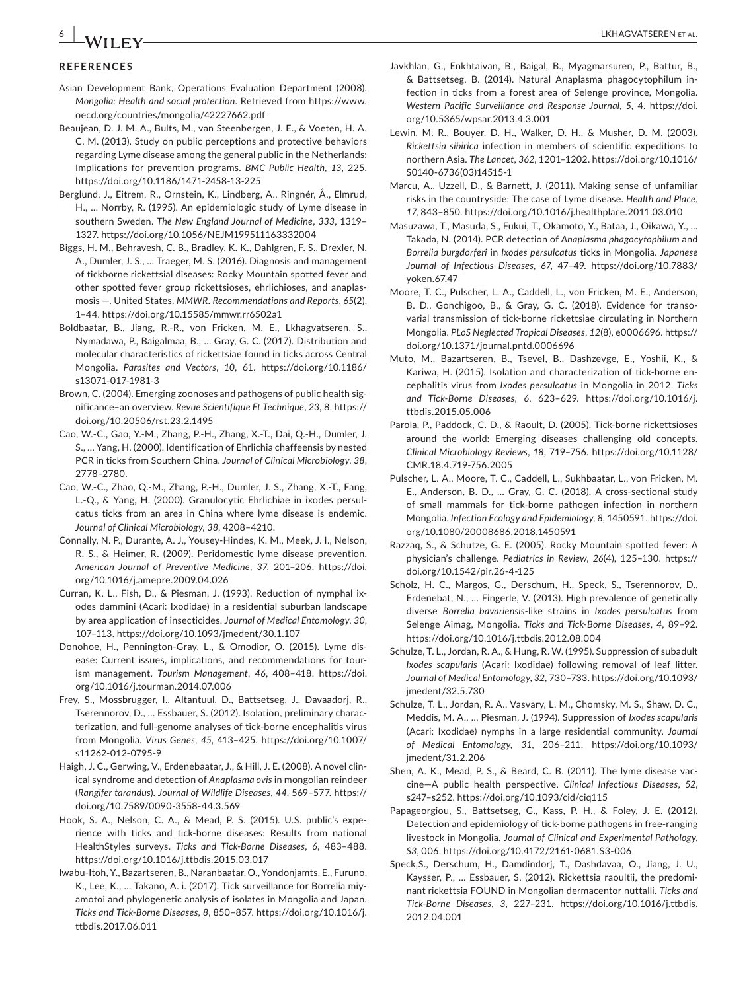#### **REFERENCES**

- Asian Development Bank, Operations Evaluation Department (2008). *Mongolia: Health and social protection*. Retrieved from [https://www.](https://www.oecd.org/countries/mongolia/42227662.pdf) [oecd.org/countries/mongolia/42227662.pdf](https://www.oecd.org/countries/mongolia/42227662.pdf)
- Beaujean, D. J. M. A., Bults, M., van Steenbergen, J. E., & Voeten, H. A. C. M. (2013). Study on public perceptions and protective behaviors regarding Lyme disease among the general public in the Netherlands: Implications for prevention programs. *BMC Public Health*, *13*, 225. <https://doi.org/10.1186/1471-2458-13-225>
- Berglund, J., Eitrem, R., Ornstein, K., Lindberg, A., Ringnér, Å., Elmrud, H., … Norrby, R. (1995). An epidemiologic study of Lyme disease in southern Sweden. *The New England Journal of Medicine*, *333*, 1319– 1327. <https://doi.org/10.1056/NEJM199511163332004>
- Biggs, H. M., Behravesh, C. B., Bradley, K. K., Dahlgren, F. S., Drexler, N. A., Dumler, J. S., … Traeger, M. S. (2016). Diagnosis and management of tickborne rickettsial diseases: Rocky Mountain spotted fever and other spotted fever group rickettsioses, ehrlichioses, and anaplas‐ mosis —. United States. *MMWR. Recommendations and Reports*, *65*(2), 1–44. <https://doi.org/10.15585/mmwr.rr6502a1>
- Boldbaatar, B., Jiang, R.‐R., von Fricken, M. E., Lkhagvatseren, S., Nymadawa, P., Baigalmaa, B., … Gray, G. C. (2017). Distribution and molecular characteristics of rickettsiae found in ticks across Central Mongolia. *Parasites and Vectors*, *10*, 61. [https://doi.org/10.1186/](https://doi.org/10.1186/s13071-017-1981-3) [s13071-017-1981-3](https://doi.org/10.1186/s13071-017-1981-3)
- Brown, C. (2004). Emerging zoonoses and pathogens of public health significance–an overview. *Revue Scientifique Et Technique*, *23*, 8. [https://](https://doi.org/10.20506/rst.23.2.1495) [doi.org/10.20506/rst.23.2.1495](https://doi.org/10.20506/rst.23.2.1495)
- Cao, W.‐C., Gao, Y.‐M., Zhang, P.‐H., Zhang, X.‐T., Dai, Q.‐H., Dumler, J. S., … Yang, H. (2000). Identification of Ehrlichia chaffeensis by nested PCR in ticks from Southern China. *Journal of Clinical Microbiology*, *38*, 2778–2780.
- Cao, W.‐C., Zhao, Q.‐M., Zhang, P.‐H., Dumler, J. S., Zhang, X.‐T., Fang, L.‐Q., & Yang, H. (2000). Granulocytic Ehrlichiae in ixodes persul‐ catus ticks from an area in China where lyme disease is endemic. *Journal of Clinical Microbiology*, *38*, 4208–4210.
- Connally, N. P., Durante, A. J., Yousey‐Hindes, K. M., Meek, J. I., Nelson, R. S., & Heimer, R. (2009). Peridomestic lyme disease prevention. *American Journal of Preventive Medicine*, *37*, 201–206. [https://doi.](https://doi.org/10.1016/j.amepre.2009.04.026) [org/10.1016/j.amepre.2009.04.026](https://doi.org/10.1016/j.amepre.2009.04.026)
- Curran, K. L., Fish, D., & Piesman, J. (1993). Reduction of nymphal ix‐ odes dammini (Acari: Ixodidae) in a residential suburban landscape by area application of insecticides. *Journal of Medical Entomology*, *30*, 107–113. <https://doi.org/10.1093/jmedent/30.1.107>
- Donohoe, H., Pennington‐Gray, L., & Omodior, O. (2015). Lyme dis‐ ease: Current issues, implications, and recommendations for tour‐ ism management. *Tourism Management*, *46*, 408–418. [https://doi.](https://doi.org/10.1016/j.tourman.2014.07.006) [org/10.1016/j.tourman.2014.07.006](https://doi.org/10.1016/j.tourman.2014.07.006)
- Frey, S., Mossbrugger, I., Altantuul, D., Battsetseg, J., Davaadorj, R., Tserennorov, D., … Essbauer, S. (2012). Isolation, preliminary charac‐ terization, and full‐genome analyses of tick‐borne encephalitis virus from Mongolia. *Virus Genes*, *45*, 413–425. [https://doi.org/10.1007/](https://doi.org/10.1007/s11262-012-0795-9) [s11262-012-0795-9](https://doi.org/10.1007/s11262-012-0795-9)
- Haigh, J. C., Gerwing, V., Erdenebaatar, J., & Hill, J. E. (2008). A novel clin‐ ical syndrome and detection of *Anaplasma ovis* in mongolian reindeer (*Rangifer tarandus*). *Journal of Wildlife Diseases*, *44*, 569–577. [https://](https://doi.org/10.7589/0090-3558-44.3.569) [doi.org/10.7589/0090-3558-44.3.569](https://doi.org/10.7589/0090-3558-44.3.569)
- Hook, S. A., Nelson, C. A., & Mead, P. S. (2015). U.S. public's expe‐ rience with ticks and tick‐borne diseases: Results from national HealthStyles surveys. *Ticks and Tick‐Borne Diseases*, *6*, 483–488. <https://doi.org/10.1016/j.ttbdis.2015.03.017>
- Iwabu‐Itoh, Y., Bazartseren, B., Naranbaatar, O., Yondonjamts, E., Furuno, K., Lee, K., … Takano, A. i. (2017). Tick surveillance for Borrelia miy‐ amotoi and phylogenetic analysis of isolates in Mongolia and Japan. *Ticks and Tick‐Borne Diseases*, *8*, 850–857. [https://doi.org/10.1016/j.](https://doi.org/10.1016/j.ttbdis.2017.06.011) [ttbdis.2017.06.011](https://doi.org/10.1016/j.ttbdis.2017.06.011)
- Javkhlan, G., Enkhtaivan, B., Baigal, B., Myagmarsuren, P., Battur, B., & Battsetseg, B. (2014). Natural Anaplasma phagocytophilum in‐ fection in ticks from a forest area of Selenge province, Mongolia. *Western Pacific Surveillance and Response Journal*, *5*, 4. [https://doi.](https://doi.org/10.5365/wpsar.2013.4.3.001) [org/10.5365/wpsar.2013.4.3.001](https://doi.org/10.5365/wpsar.2013.4.3.001)
- Lewin, M. R., Bouyer, D. H., Walker, D. H., & Musher, D. M. (2003). *Rickettsia sibirica* infection in members of scientific expeditions to northern Asia. *The Lancet*, *362*, 1201–1202. [https://doi.org/10.1016/](https://doi.org/10.1016/S0140-6736(03)14515-1) [S0140-6736\(03\)14515-1](https://doi.org/10.1016/S0140-6736(03)14515-1)
- Marcu, A., Uzzell, D., & Barnett, J. (2011). Making sense of unfamiliar risks in the countryside: The case of Lyme disease. *Health and Place*, *17*, 843–850. <https://doi.org/10.1016/j.healthplace.2011.03.010>
- Masuzawa, T., Masuda, S., Fukui, T., Okamoto, Y., Bataa, J., Oikawa, Y., … Takada, N. (2014). PCR detection of *Anaplasma phagocytophilum* and *Borrelia burgdorferi* in *Ixodes persulcatus* ticks in Mongolia. *Japanese Journal of Infectious Diseases*, *67*, 47–49. [https://doi.org/10.7883/](https://doi.org/10.7883/yoken.67.47) [yoken.67.47](https://doi.org/10.7883/yoken.67.47)
- Moore, T. C., Pulscher, L. A., Caddell, L., von Fricken, M. E., Anderson, B. D., Gonchigoo, B., & Gray, G. C. (2018). Evidence for transovarial transmission of tick‐borne rickettsiae circulating in Northern Mongolia. *PLoS Neglected Tropical Diseases*, *12*(8), e0006696. [https://](https://doi.org/10.1371/journal.pntd.0006696) [doi.org/10.1371/journal.pntd.0006696](https://doi.org/10.1371/journal.pntd.0006696)
- Muto, M., Bazartseren, B., Tsevel, B., Dashzevge, E., Yoshii, K., & Kariwa, H. (2015). Isolation and characterization of tick‐borne en‐ cephalitis virus from *Ixodes persulcatus* in Mongolia in 2012. *Ticks and Tick‐Borne Diseases*, *6*, 623–629. [https://doi.org/10.1016/j.](https://doi.org/10.1016/j.ttbdis.2015.05.006) [ttbdis.2015.05.006](https://doi.org/10.1016/j.ttbdis.2015.05.006)
- Parola, P., Paddock, C. D., & Raoult, D. (2005). Tick‐borne rickettsioses around the world: Emerging diseases challenging old concepts. *Clinical Microbiology Reviews*, *18*, 719–756. [https://doi.org/10.1128/](https://doi.org/10.1128/CMR.18.4.719-756.2005) [CMR.18.4.719-756.2005](https://doi.org/10.1128/CMR.18.4.719-756.2005)
- Pulscher, L. A., Moore, T. C., Caddell, L., Sukhbaatar, L., von Fricken, M. E., Anderson, B. D., … Gray, G. C. (2018). A cross‐sectional study of small mammals for tick‐borne pathogen infection in northern Mongolia. *Infection Ecology and Epidemiology*, *8*, 1450591. [https://doi.](https://doi.org/10.1080/20008686.2018.1450591) [org/10.1080/20008686.2018.1450591](https://doi.org/10.1080/20008686.2018.1450591)
- Razzaq, S., & Schutze, G. E. (2005). Rocky Mountain spotted fever: A physician's challenge. *Pediatrics in Review*, *26*(4), 125–130. [https://](https://doi.org/10.1542/pir.26-4-125) [doi.org/10.1542/pir.26-4-125](https://doi.org/10.1542/pir.26-4-125)
- Scholz, H. C., Margos, G., Derschum, H., Speck, S., Tserennorov, D., Erdenebat, N., … Fingerle, V. (2013). High prevalence of genetically diverse *Borrelia bavariensis*‐like strains in *Ixodes persulcatus* from Selenge Aimag, Mongolia. *Ticks and Tick‐Borne Diseases*, *4*, 89–92. <https://doi.org/10.1016/j.ttbdis.2012.08.004>
- Schulze, T. L., Jordan, R. A., & Hung, R. W. (1995). Suppression of subadult *Ixodes scapularis* (Acari: Ixodidae) following removal of leaf litter. *Journal of Medical Entomology*, *32*, 730–733. [https://doi.org/10.1093/](https://doi.org/10.1093/jmedent/32.5.730) [jmedent/32.5.730](https://doi.org/10.1093/jmedent/32.5.730)
- Schulze, T. L., Jordan, R. A., Vasvary, L. M., Chomsky, M. S., Shaw, D. C., Meddis, M. A., … Piesman, J. (1994). Suppression of *Ixodes scapularis* (Acari: Ixodidae) nymphs in a large residential community. *Journal of Medical Entomology*, *31*, 206–211. [https://doi.org/10.1093/](https://doi.org/10.1093/jmedent/31.2.206) [jmedent/31.2.206](https://doi.org/10.1093/jmedent/31.2.206)
- Shen, A. K., Mead, P. S., & Beard, C. B. (2011). The lyme disease vaccine—A public health perspective. *Clinical Infectious Diseases*, *52*, s247–s252. <https://doi.org/10.1093/cid/ciq115>
- Papageorgiou, S., Battsetseg, G., Kass, P. H., & Foley, J. E. (2012). Detection and epidemiology of tick‐borne pathogens in free‐ranging livestock in Mongolia. *Journal of Clinical and Experimental Pathology*, *S3*, 006. <https://doi.org/10.4172/2161-0681.S3-006>
- Speck,S., Derschum, H., Damdindorj, T., Dashdavaa, O., Jiang, J. U., Kaysser, P., … Essbauer, S. (2012). Rickettsia raoultii, the predomi‐ nant rickettsia FOUND in Mongolian dermacentor nuttalli. *Ticks and Tick‐Borne Diseases*, *3*, 227–231. [https://doi.org/10.1016/j.ttbdis.](https://doi.org/10.1016/j.ttbdis.2012.04.001) [2012.04.001](https://doi.org/10.1016/j.ttbdis.2012.04.001)